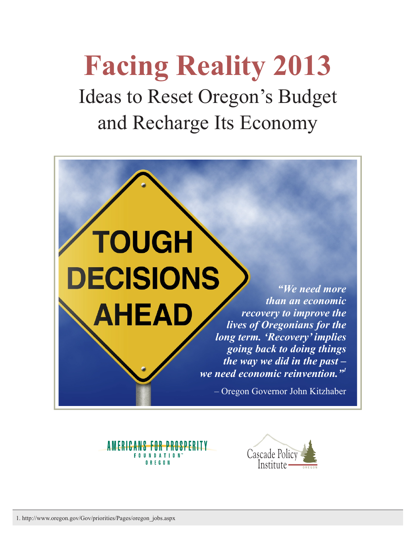**Facing Reality 2013** Ideas to Reset Oregon's Budget and Recharge Its Economy





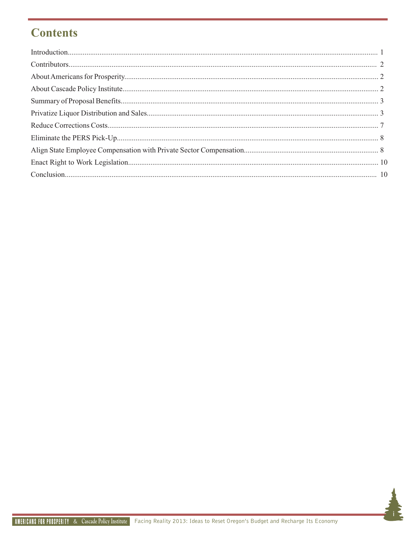# **Contents**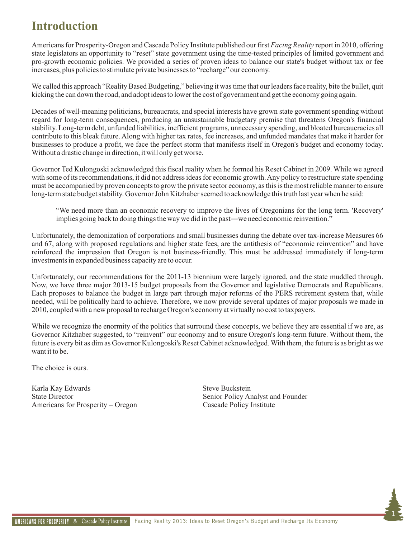# **Introduction**

Americans for Prosperity-Oregon and Cascade Policy Institute published our first *Facing Reality* report in 2010, offering state legislators an opportunity to "reset" state government using the time-tested principles of limited government and pro-growth economic policies. We provided a series of proven ideas to balance our state's budget without tax or fee increases, plus policies to stimulate private businesses to "recharge" our economy.

We called this approach "Reality Based Budgeting," believing it was time that our leaders face reality, bite the bullet, quit kicking the can down the road, and adopt ideas to lower the cost of government and get the economy going again.

Decades of well-meaning politicians, bureaucrats, and special interests have grown state government spending without regard for long-term consequences, producing an unsustainable budgetary premise that threatens Oregon's financial stability. Long-term debt, unfunded liabilities, inefficient programs, unnecessary spending, and bloated bureaucracies all contribute to this bleak future. Along with higher tax rates, fee increases, and unfunded mandates that make it harder for businesses to produce a profit, we face the perfect storm that manifests itself in Oregon's budget and economy today. Without a drastic change in direction, it will only get worse.

Governor Ted Kulongoski acknowledged this fiscal reality when he formed his Reset Cabinet in 2009. While we agreed with some of its recommendations, it did not address ideas for economic growth. Any policy to restructure state spending must be accompanied by proven concepts to grow the private sector economy, as this is the most reliable manner to ensure long-term state budget stability. Governor John Kitzhaber seemed to acknowledge this truth last year when he said:

"We need more than an economic recovery to improve the lives of Oregonians for the long term. 'Recovery' implies going back to doing things the way we did in the past―we need economic reinvention."

Unfortunately, the demonization of corporations and small businesses during the debate over tax-increase Measures 66 and 67, along with proposed regulations and higher state fees, are the antithesis of "economic reinvention" and have reinforced the impression that Oregon is not business-friendly. This must be addressed immediately if long-term investments in expanded business capacity are to occur.

Unfortunately, our recommendations for the 2011-13 biennium were largely ignored, and the state muddled through. Now, we have three major 2013-15 budget proposals from the Governor and legislative Democrats and Republicans. Each proposes to balance the budget in large part through major reforms of the PERS retirement system that, while needed, will be politically hard to achieve. Therefore, we now provide several updates of major proposals we made in 2010, coupled with a new proposal to recharge Oregon's economy at virtually no cost to taxpayers.

While we recognize the enormity of the politics that surround these concepts, we believe they are essential if we are, as Governor Kitzhaber suggested, to "reinvent" our economy and to ensure Oregon's long-term future. Without them, the future is every bit as dim as Governor Kulongoski's Reset Cabinet acknowledged. With them, the future is as bright as we want it to be.

The choice is ours.

Karla Kay Edwards Steve Buckstein State Director Senior Policy Analyst and Founder Americans for Prosperity – Oregon Cascade Policy Institute

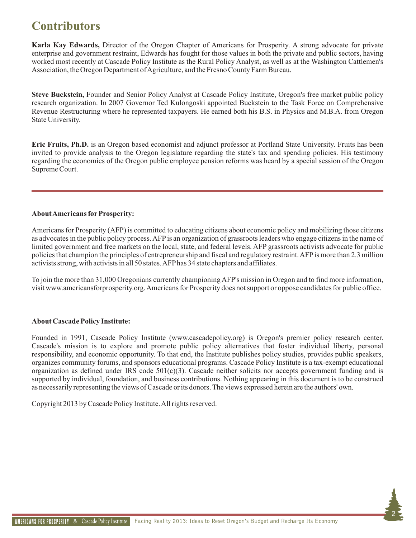# **Contributors**

**Karla Kay Edwards,** Director of the Oregon Chapter of Americans for Prosperity. A strong advocate for private enterprise and government restraint, Edwards has fought for those values in both the private and public sectors, having worked most recently at Cascade Policy Institute as the Rural Policy Analyst, as well as at the Washington Cattlemen's Association, the Oregon Department of Agriculture, and the Fresno County Farm Bureau.

**Steve Buckstein,** Founder and Senior Policy Analyst at Cascade Policy Institute, Oregon's free market public policy research organization. In 2007 Governor Ted Kulongoski appointed Buckstein to the Task Force on Comprehensive Revenue Restructuring where he represented taxpayers. He earned both his B.S. in Physics and M.B.A. from Oregon State University.

**Eric Fruits, Ph.D.** is an Oregon based economist and adjunct professor at Portland State University. Fruits has been invited to provide analysis to the Oregon legislature regarding the state's tax and spending policies. His testimony regarding the economics of the Oregon public employee pension reforms was heard by a special session of the Oregon Supreme Court.

#### **About Americans for Prosperity:**

Americans for Prosperity (AFP) is committed to educating citizens about economic policy and mobilizing those citizens as advocates in the public policy process. AFPis an organization of grassroots leaders who engage citizens in the name of limited government and free markets on the local, state, and federal levels. AFP grassroots activists advocate for public policies that champion the principles of entrepreneurship and fiscal and regulatory restraint. AFPis more than 2.3 million activists strong, with activists in all 50 states. AFPhas 34 state chapters and affiliates.

To join the more than 31,000 Oregonians currently championing AFP's mission in Oregon and to find more information, visit www.americansforprosperity.org. Americans for Prosperity does not support or oppose candidates for public office.

#### **About Cascade Policy Institute:**

Founded in 1991, Cascade Policy Institute (www.cascadepolicy.org) is Oregon's premier policy research center. Cascade's mission is to explore and promote public policy alternatives that foster individual liberty, personal responsibility, and economic opportunity. To that end, the Institute publishes policy studies, provides public speakers, organizes community forums, and sponsors educational programs. Cascade Policy Institute is a tax-exempt educational organization as defined under IRS code 501(c)(3). Cascade neither solicits nor accepts government funding and is supported by individual, foundation, and business contributions. Nothing appearing in this document is to be construed as necessarily representing the views of Cascade or its donors. The views expressed herein are the authors' own.

Copyright 2013 by Cascade Policy Institute. All rights reserved.

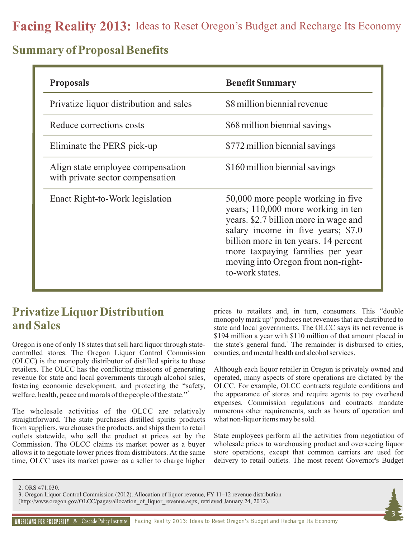## **Summary of Proposal Benefits**

| <b>Proposals</b>                                                      | <b>Benefit Summary</b>                                                                                                                                                                                                                                                                        |
|-----------------------------------------------------------------------|-----------------------------------------------------------------------------------------------------------------------------------------------------------------------------------------------------------------------------------------------------------------------------------------------|
| Privatize liquor distribution and sales                               | \$8 million biennial revenue                                                                                                                                                                                                                                                                  |
| Reduce corrections costs                                              | \$68 million biennial savings                                                                                                                                                                                                                                                                 |
| Eliminate the PERS pick-up                                            | \$772 million biennial savings                                                                                                                                                                                                                                                                |
| Align state employee compensation<br>with private sector compensation | \$160 million biennial savings                                                                                                                                                                                                                                                                |
| Enact Right-to-Work legislation                                       | 50,000 more people working in five<br>years; 110,000 more working in ten<br>years. \$2.7 billion more in wage and<br>salary income in five years; \$7.0<br>billion more in ten years. 14 percent<br>more taxpaying families per year<br>moving into Oregon from non-right-<br>to-work states. |

## **Privatize Liquor Distribution and Sales**

Oregon is one of only 18 states that sell hard liquor through statecontrolled stores. The Oregon Liquor Control Commission (OLCC) is the monopoly distributor of distilled spirits to these retailers. The OLCC has the conflicting missions of generating revenue for state and local governments through alcohol sales, fostering economic development, and protecting the "safety, welfare, health, peace and morals of the people of the state." $\frac{1}{2}$ 

The wholesale activities of the OLCC are relatively straightforward. The state purchases distilled spirits products from suppliers, warehouses the products, and ships them to retail outlets statewide, who sell the product at prices set by the Commission. The OLCC claims its market power as a buyer allows it to negotiate lower prices from distributors. At the same time, OLCC uses its market power as a seller to charge higher prices to retailers and, in turn, consumers. This "double monopoly mark up" produces net revenues that are distributed to state and local governments. The OLCC says its net revenue is \$194 million a year with \$110 million of that amount placed in the state's general fund.<sup>3</sup> The remainder is disbursed to cities, counties, and mental health and alcohol services.

Although each liquor retailer in Oregon is privately owned and operated, many aspects of store operations are dictated by the OLCC. For example, OLCC contracts regulate conditions and the appearance of stores and require agents to pay overhead expenses. Commission regulations and contracts mandate numerous other requirements, such as hours of operation and what non-liquor items may be sold.

State employees perform all the activities from negotiation of wholesale prices to warehousing product and overseeing liquor store operations, except that common carriers are used for delivery to retail outlets. The most recent Governor's Budget

2. ORS 471.030.

3. Oregon Liquor Control Commission (2012). Allocation of liquor revenue, FY 11–12 revenue distribution

[\(http://www.oregon.gov/OLCC/pages/allocation\\_of\\_liquor\\_revenue.aspx](http://www.oregon.gov/OLCC/pages/allocation_of_liquor_revenue.aspx), retrieved January 24, 2012).

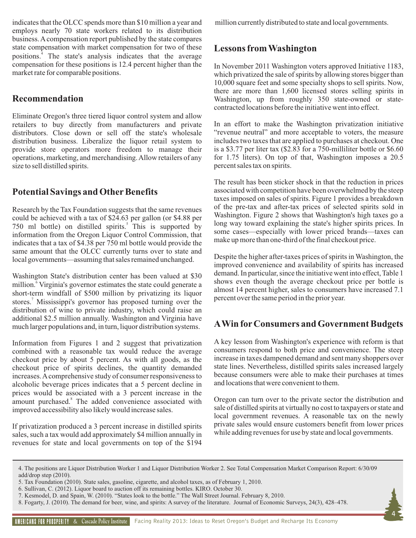indicates that the OLCC spends more than \$10 million a year and employs nearly 70 state workers related to its distribution business. Acompensation report published by the state compares state compensation with market compensation for two of these positions.<sup>4</sup> The state's analysis indicates that the average compensation for these positions is 12.4 percent higher than the market rate for comparable positions.

#### **Recommendation**

Eliminate Oregon's three tiered liquor control system and allow retailers to buy directly from manufacturers and private distributors. Close down or sell off the state's wholesale distribution business. Liberalize the liquor retail system to provide store operators more freedom to manage their operations, marketing, and merchandising. Allow retailers of any size to sell distilled spirits.

### **Potential Savings and Other Benefits**

Research by the Tax Foundation suggests that the same revenues could be achieved with a tax of \$24.63 per gallon (or \$4.88 per 750 ml bottle) on distilled spirits.<sup>5</sup> This is supported by information from the Oregon Liquor Control Commission, that indicates that a tax of \$4.38 per 750 ml bottle would provide the same amount that the OLCC currently turns over to state and local governments—assuming that sales remained unchanged.

Washington State's distribution center has been valued at \$30 million.<sup>6</sup> Virginia's governor estimates the state could generate a short-term windfall of \$500 million by privatizing its liquor stores.<sup>7</sup> Mississippi's governor has proposed turning over the distribution of wine to private industry, which could raise an additional \$2.5 million annually. Washington and Virginia have much larger populations and, in turn, liquor distribution systems.

Information from Figures 1 and 2 suggest that privatization combined with a reasonable tax would reduce the average checkout price by about 5 percent. As with all goods, as the checkout price of spirits declines, the quantity demanded increases. Acomprehensive study of consumer responsiveness to alcoholic beverage prices indicates that a 5 percent decline in prices would be associated with a 3 percent increase in the amount purchased.<sup>8</sup> The added convenience associated with improved accessibility also likely would increase sales.

If privatization produced a 3 percent increase in distilled spirits sales, such a tax would add approximately \$4 million annually in revenues for state and local governments on top of the \$194 million currently distributed to state and local governments.

### **Lessons from Washington**

In November 2011 Washington voters approved Initiative 1183, which privatized the sale of spirits by allowing stores bigger than 10,000 square feet and some specialty shops to sell spirits. Now, there are more than 1,600 licensed stores selling spirits in Washington, up from roughly 350 state-owned or statecontracted locations before the initiative went into effect.

In an effort to make the Washington privatization initiative "revenue neutral" and more acceptable to voters, the measure includes two taxes that are applied to purchases at checkout. One is a \$3.77 per liter tax (\$2.83 for a 750-milliliter bottle or \$6.60 for 1.75 liters). On top of that, Washington imposes a 20.5 percent sales tax on spirits.

The result has been sticker shock in that the reduction in prices associated with competition have been overwhelmed by the steep taxes imposed on sales of spirits. Figure 1 provides a breakdown of the pre-tax and after-tax prices of selected spirits sold in Washington. Figure 2 shows that Washington's high taxes go a long way toward explaining the state's higher spirits prices. In some cases—especially with lower priced brands—taxes can make up more than one-third of the final checkout price.

Despite the higher after-taxes prices of spirits in Washington, the improved convenience and availability of spirits has increased demand. In particular, since the initiative went into effect, Table 1 shows even though the average checkout price per bottle is almost 14 percent higher, sales to consumers have increased 7.1 percent over the same period in the prior year.

### **AWin forConsumers and Government Budgets**

A key lesson from Washington's experience with reform is that consumers respond to both price and convenience. The steep increase in taxes dampened demand and sent many shoppers over state lines. Nevertheless, distilled spirits sales increased largely because consumers were able to make their purchases at times and locations that were convenient to them.

Oregon can turn over to the private sector the distribution and sale of distilled spirits at virtually no cost to taxpayers or state and local government revenues. A reasonable tax on the newly private sales would ensure customers benefit from lower prices while adding revenues for use by state and local governments.

**4**

<sup>4.</sup> The positions are Liquor Distribution Worker 1 and Liquor Distribution Worker 2. See Total Compensation Market Comparison Report: 6/30/09 add/drop step (2010).

<sup>5.</sup> Tax Foundation (2010). State sales, gasoline, cigarette, and alcohol taxes, as of February 1, 2010.

<sup>6.</sup> Sullivan, C. (2012). Liquor board to auction off its remaining bottles. KIRO. October 30.

<sup>7.</sup> Kesmodel, D. and Spain, W. (2010). "States look to the bottle." The Wall Street Journal. February 8, 2010.

<sup>8.</sup> Fogarty, J. (2010). The demand for beer, wine, and spirits: A survey of the literature. Journal of Economic Surveys, 24(3), 428–478.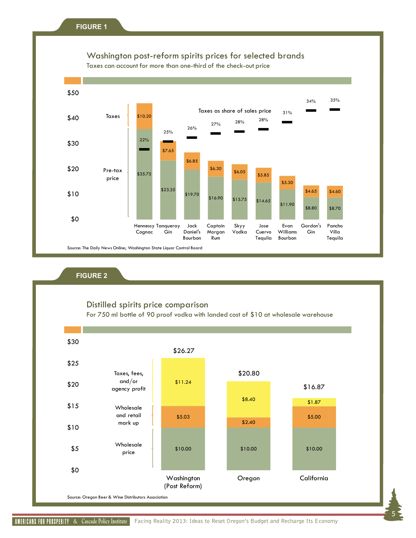## Washington post-reform spirits prices for selected brands

Taxes can account for more than one-third of the check-out price



#### **FIGURE 2**

### Distilled spirits price comparison

For 750 ml bottle of 90 proof vodka with landed cost of \$10 at wholesale warehouse



**5**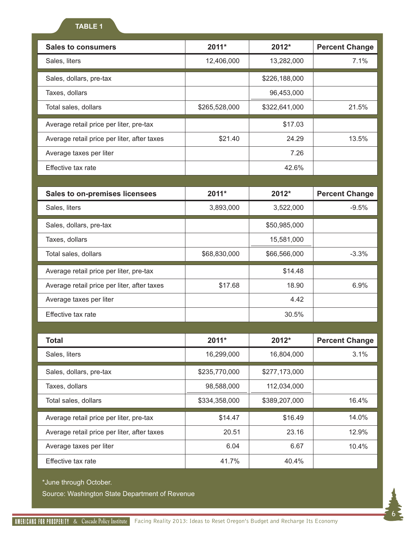| <b>Sales to consumers</b>                   | 2011*<br>2012*                 |               | <b>Percent Change</b> |  |
|---------------------------------------------|--------------------------------|---------------|-----------------------|--|
| Sales, liters                               | 12,406,000<br>13,282,000       |               | 7.1%                  |  |
| Sales, dollars, pre-tax                     | \$226,188,000                  |               |                       |  |
| Taxes, dollars                              |                                | 96,453,000    |                       |  |
| Total sales, dollars                        | \$265,528,000                  | \$322,641,000 | 21.5%                 |  |
| Average retail price per liter, pre-tax     |                                | \$17.03       |                       |  |
| Average retail price per liter, after taxes | \$21.40                        | 24.29         | 13.5%                 |  |
| Average taxes per liter                     |                                | 7.26          |                       |  |
| Effective tax rate                          |                                | 42.6%         |                       |  |
|                                             |                                |               |                       |  |
| <b>Sales to on-premises licensees</b>       | 2011*                          | 2012*         | <b>Percent Change</b> |  |
| Sales, liters                               | 3,893,000                      | 3,522,000     | $-9.5%$               |  |
| Sales, dollars, pre-tax                     |                                | \$50,985,000  |                       |  |
| Taxes, dollars                              |                                | 15,581,000    |                       |  |
| Total sales, dollars                        | \$68,830,000<br>\$66,566,000   |               | $-3.3%$               |  |
| Average retail price per liter, pre-tax     |                                | \$14.48       |                       |  |
| Average retail price per liter, after taxes | \$17.68<br>18.90               |               | 6.9%                  |  |
| Average taxes per liter                     |                                | 4.42          |                       |  |
| Effective tax rate                          |                                | 30.5%         |                       |  |
|                                             |                                |               |                       |  |
| <b>Total</b>                                | 2011*                          | 2012*         | <b>Percent Change</b> |  |
| Sales, liters                               | 16,299,000                     | 16,804,000    | 3.1%                  |  |
| Sales, dollars, pre-tax                     | \$235,770,000                  | \$277,173,000 |                       |  |
| Taxes, dollars                              | 98,588,000                     | 112,034,000   |                       |  |
| Total sales, dollars                        | \$389,207,000<br>\$334,358,000 |               | 16.4%                 |  |
| Average retail price per liter, pre-tax     | \$14.47<br>\$16.49             |               | 14.0%                 |  |
| Average retail price per liter, after taxes | 20.51                          | 23.16         | 12.9%                 |  |
| Average taxes per liter                     | 6.04                           | 6.67          |                       |  |
| Effective tax rate                          | 41.7%                          | 40.4%         |                       |  |

\*June through October.

Source: Washington State Department of Revenue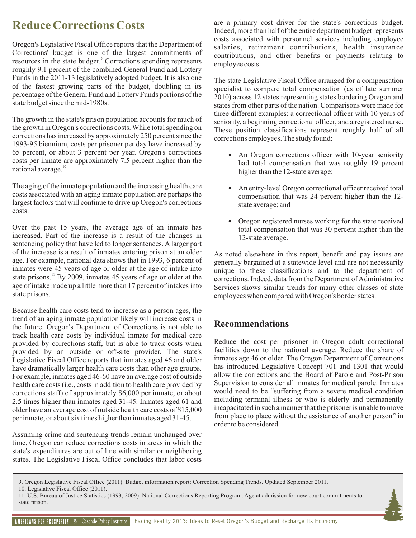# **Reduce Corrections Costs**

Oregon's Legislative Fiscal Office reports that the Department of Corrections' budget is one of the largest commitments of resources in the state budget.<sup>9</sup> Corrections spending represents roughly 9.1 percent of the combined General Fund and Lottery Funds in the 2011-13 legislatively adopted budget. It is also one of the fastest growing parts of the budget, doubling in its percentage of the General Fund and Lottery Funds portions of the state budget since the mid-1980s.

The growth in the state's prison population accounts for much of the growth in Oregon's corrections costs. While total spending on corrections has increased by approximately 250 percent since the 1993-95 biennium, costs per prisoner per day have increased by 65 percent, or about 3 percent per year. Oregon's corrections costs per inmate are approximately 7.5 percent higher than the national average.<sup>10</sup>

The aging of the inmate population and the increasing health care costs associated with an aging inmate population are perhaps the largest factors that will continue to drive up Oregon's corrections costs.

Over the past 15 years, the average age of an inmate has increased. Part of the increase is a result of the changes in sentencing policy that have led to longer sentences. A larger part of the increase is a result of inmates entering prison at an older age. For example, national data shows that in 1993, 6 percent of inmates were 45 years of age or older at the age of intake into state prisons.<sup>11</sup> By 2009, inmates 45 years of age or older at the age of intake made up a little more than 17 percent of intakes into state prisons.

Because health care costs tend to increase as a person ages, the trend of an aging inmate population likely will increase costs in the future. Oregon's Department of Corrections is not able to track health care costs by individual inmate for medical care provided by corrections staff, but is able to track costs when provided by an outside or off-site provider. The state's Legislative Fiscal Office reports that inmates aged 46 and older have dramatically larger health care costs than other age groups. For example, inmates aged 46-60 have an average cost of outside health care costs (i.e., costs in addition to health care provided by corrections staff) of approximately \$6,000 per inmate, or about 2.5 times higher than inmates aged 31-45. Inmates aged 61 and older have an average cost of outside health care costs of \$15,000 per inmate, or about six times higher than inmates aged 31-45.

Assuming crime and sentencing trends remain unchanged over time, Oregon can reduce corrections costs in areas in which the state's expenditures are out of line with similar or neighboring states. The Legislative Fiscal Office concludes that labor costs

are a primary cost driver for the state's corrections budget. Indeed, more than half of the entire department budget represents costs associated with personnel services including employee salaries, retirement contributions, health insurance contributions, and other benefits or payments relating to employee costs.

The state Legislative Fiscal Office arranged for a compensation specialist to compare total compensation (as of late summer 2010) across 12 states representing states bordering Oregon and states from other parts of the nation. Comparisons were made for three different examples: a correctional officer with 10 years of seniority, a beginning correctional officer, and a registered nurse. These position classifications represent roughly half of all corrections employees. The study found:

- An Oregon corrections officer with 10-year seniority had total compensation that was roughly 19 percent higher than the 12-state average;
- An entry-level Oregon correctional officer received total compensation that was 24 percent higher than the 12 state average; and
- Oregon registered nurses working for the state received total compensation that was 30 percent higher than the 12-state average.

As noted elsewhere in this report, benefit and pay issues are generally bargained at a statewide level and are not necessarily unique to these classifications and to the department of corrections. Indeed, data from the Department of Administrative Services shows similar trends for many other classes of state employees when compared with Oregon's border states.

### **Recommendations**

Reduce the cost per prisoner in Oregon adult correctional facilities down to the national average. Reduce the share of inmates age 46 or older. The Oregon Department of Corrections has introduced Legislative Concept 701 and 1301 that would allow the corrections and the Board of Parole and Post-Prison Supervision to consider all inmates for medical parole. Inmates would need to be "suffering from a severe medical condition including terminal illness or who is elderly and permanently incapacitated in such a manner that the prisoner is unable to move from place to place without the assistance of another person" in order to be considered.

<sup>11.</sup> U.S. Bureau of Justice Statistics (1993, 2009). National Corrections Reporting Program. Age at admission for new court commitments to state prison.



<sup>9.</sup> Oregon Legislative Fiscal Office (2011). Budget information report: Correction Spending Trends. Updated September 2011.

<sup>10.</sup> Legislative Fiscal Office (2011).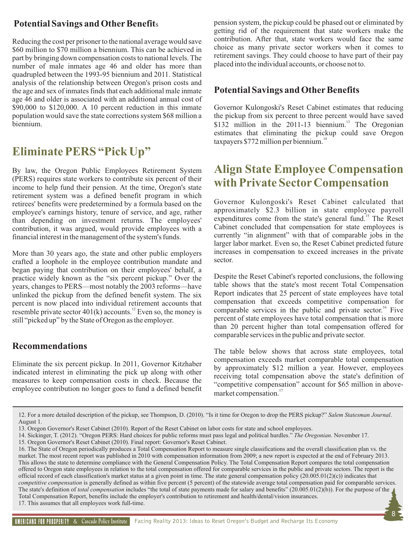## **Potential Savings and Other Benefits**

Reducing the cost per prisoner to the national average would save \$60 million to \$70 million a biennium. This can be achieved in part by bringing down compensation costs to national levels. The number of male inmates age 46 and older has more than quadrupled between the 1993-95 biennium and 2011. Statistical analysis of the relationship between Oregon's prison costs and the age and sex of inmates finds that each additional male inmate age 46 and older is associated with an additional annual cost of \$90,000 to \$120,000. A 10 percent reduction in this inmate population would save the state corrections system \$68 million a biennium.

# **Eliminate PERS "Pick Up"**

By law, the Oregon Public Employees Retirement System (PERS) requires state workers to contribute six percent of their income to help fund their pension. At the time, Oregon's state retirement system was a defined benefit program in which retirees' benefits were predetermined by a formula based on the employee's earnings history, tenure of service, and age, rather than depending on investment returns. The employees' contribution, it was argued, would provide employees with a financial interest in the management of the system's funds.

More than 30 years ago, the state and other public employers crafted a loophole in the employee contribution mandate and began paying that contribution on their employees' behalf, a practice widely known as the "six percent pickup." Over the years, changes to PERS—most notably the 2003 reforms—have unlinked the pickup from the defined benefit system. The six percent is now placed into individual retirement accounts that resemble private sector  $401(k)$  accounts.<sup>12</sup> Even so, the money is still "picked up" by the State of Oregon as the employer.

### **Recommendations**

Eliminate the six percent pickup. In 2011, Governor Kitzhaber indicated interest in eliminating the pick up along with other measures to keep compensation costs in check. Because the employee contribution no longer goes to fund a defined benefit

pension system, the pickup could be phased out or eliminated by getting rid of the requirement that state workers make the contribution. After that, state workers would face the same choice as many private sector workers when it comes to retirement savings. They could choose to have part of their pay placed into the individual accounts, or choose not to.

### **Potential Savings and Other Benefits**

Governor Kulongoski's Reset Cabinet estimates that reducing the pickup from six percent to three percent would have saved \$132 million in the 2011-13 biennium.<sup>13</sup> The Oregonian estimates that eliminating the pickup could save Oregon  $taxpayers$  \$772 million per biennium.<sup>14</sup>

## **Align State Employee Compensation with Private SectorCompensation**

Governor Kulongoski's Reset Cabinet calculated that approximately \$2.3 billion in state employee payroll expenditures come from the state's general fund.<sup>15</sup> The Reset Cabinet concluded that compensation for state employees is currently "in alignment" with that of comparable jobs in the larger labor market. Even so, the Reset Cabinet predicted future increases in compensation to exceed increases in the private sector.

Despite the Reset Cabinet's reported conclusions, the following table shows that the state's most recent Total Compensation Report indicates that 25 percent of state employees have total compensation that exceeds competitive compensation for comparable services in the public and private sector.<sup>16</sup> Five percent of state employees have total compensation that is more than 20 percent higher than total compensation offered for comparable services in the public and private sector.

The table below shows that across state employees, total compensation exceeds market comparable total compensation by approximately \$12 million a year. However, employees receiving total compensation above the state's definition of "competitive compensation" account for \$65 million in abovemarket compensation.<sup>17</sup>

**8**

<sup>12.</sup> For a more detailed description of the pickup, see Thompson, D. (2010). "Is it time for Oregon to drop the PERS pickup?" *Salem Statesman Journal*. August 1.

<sup>13.</sup> Oregon Governor's Reset Cabinet (2010). Report of the Reset Cabinet on labor costs for state and school employees.

<sup>14.</sup> Sickinger, T. (2012). "Oregon PERS: Hard choices for public reforms must pass legal and political hurdles." *The Oregonian*. November 17.

<sup>15.</sup> Oregon Governor's Reset Cabinet (2010). Final report: Governor's Reset Cabinet.

<sup>16.</sup> The State of Oregon periodically produces a Total Compensation Report to measure single classifications and the overall classification plan vs. the market. The most recent report was published in 2010 with compensation information from 2009; a new report is expected at the end of February 2013. This allows the state to determine compliance with the General Compensation Policy. The Total Compensation Report compares the total compensation offered to Oregon state employees in relation to the total compensation offered for comparable services in the public and private sectors. The report is the official record of each classification's market status at a given point in time. The state general compensation policy  $(20.005.01(2)(c))$  indicates that *competitive compensation* is generally defined as within five percent (5 percent) of the statewide average total compensation paid for comparable services. The state's definition of *total compensation* includes "the total of state payments made for salary and benefits" (20.005.01(2)(b)). For the purpose of the Total Compensation Report, benefits include the employer's contribution to retirement and health/dental/vision insurances. 17. This assumes that all employees work full-time.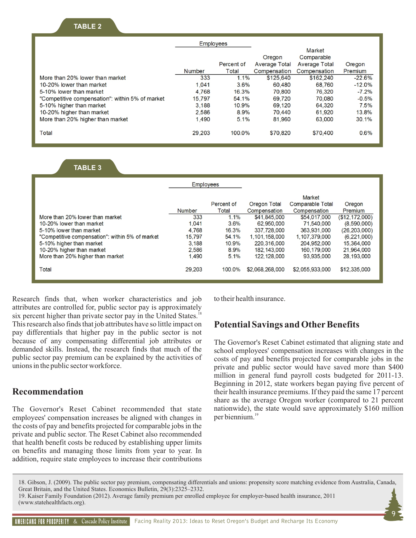#### **TABLE 2**

|                                                 | <b>Employees</b> |            |                      |               |          |
|-------------------------------------------------|------------------|------------|----------------------|---------------|----------|
|                                                 |                  |            |                      | Market        |          |
|                                                 |                  |            | Oregon               | Comparable    |          |
|                                                 |                  | Percent of | <b>Average Total</b> | Average Total | Oregon   |
|                                                 | Number           | Total      | Compensation         | Compensation  | Premium  |
| More than 20% lower than market                 | 333              | 1.1%       | \$125,640            | \$162,240     | $-22.6%$ |
| 10-20% lower than market                        | 1,041            | $3.6\%$    | 60.480               | 68,760        | $-12.0%$ |
| 5-10% lower than market                         | 4.768            | 16.3%      | 70,800               | 76.320        | $-7.2\%$ |
| "Competitive compensation": within 5% of market | 15.797           | 54.1%      | 69.720               | 70.080        | $-0.5%$  |
| 5-10% higher than market                        | 3.188            | 10.9%      | 69.120               | 64,320        | 7.5%     |
| 10-20% higher than market                       | 2.586            | $8.9\%$    | 70,440               | 61,920        | 13.8%    |
| More than 20% higher than market                | 1.490            | 5.1%       | 81,960               | 63,000        | 30.1%    |
| Total                                           | 29.203           | 100.0%     | \$70,820             | \$70,400      | 0.6%     |

#### **TABLE 3**

|                                                 | Employees |                     |                              |                                   |                           |
|-------------------------------------------------|-----------|---------------------|------------------------------|-----------------------------------|---------------------------|
|                                                 | Number    | Percent of<br>Total | Oregon Total                 | <b>Market</b><br>Comparable Total | Oregon                    |
| More than 20% lower than market                 | 333       | 1.1%                | Compensation<br>\$41,845,000 | Compensation<br>\$54,017,000      | Premium<br>(\$12,172,000) |
| 10-20% lower than market                        | 1,041     | 3.6%                | 62,950,000                   | 71,540,000                        | (8,590,000)               |
| 5-10% lower than market                         | 4.768     | 16.3%               | 337,728,000                  | 363,931,000                       | (26, 203, 000)            |
| "Competitive compensation": within 5% of market | 15.797    | 54.1%               | 1.101.158.000                | 1.107.379.000                     | (6,221,000)               |
| 5-10% higher than market                        | 3.188     | 10.9%               | 220.316.000                  | 204.952.000                       | 15.364.000                |
| 10-20% higher than market                       | 2.586     | 8.9%                | 182.143.000                  | 160,179,000                       | 21,964,000                |
| More than 20% higher than market                | 1.490     | 5.1%                | 122.128.000                  | 93.935.000                        | 28,193,000                |
| Total                                           | 29,203    | 100.0%              | \$2,068,268,000              | \$2,055,933,000                   | \$12,335,000              |

Research finds that, when worker characteristics and job attributes are controlled for, public sector pay is approximately six percent higher than private sector pay in the United States.<sup>18</sup> This research also finds that job attributes have so little impact on pay differentials that higher pay in the public sector is not because of any compensating differential job attributes or demanded skills. Instead, the research finds that much of the public sector pay premium can be explained by the activities of unions in the public sector workforce.

#### **Recommendation**

The Governor's Reset Cabinet recommended that state employees' compensation increases be aligned with changes in the costs of pay and benefits projected for comparable jobs in the private and public sector. The Reset Cabinet also recommended that health benefit costs be reduced by establishing upper limits on benefits and managing those limits from year to year. In addition, require state employees to increase their contributions

to their health insurance.

### **Potential Savings and Other Benefits**

The Governor's Reset Cabinet estimated that aligning state and school employees' compensation increases with changes in the costs of pay and benefits projected for comparable jobs in the private and public sector would have saved more than \$400 million in general fund payroll costs budgeted for 2011-13. Beginning in 2012, state workers began paying five percent of their health insurance premiums. If they paid the same 17 percent share as the average Oregon worker (compared to 21 percent nationwide), the state would save approximately \$160 million per biennium.<sup>19</sup>

 **9**

18. Gibson, J. (2009). [The public sector pay premium](http://www.accessecon.com/Pubs/EB/2009/Volume29/EB-09-V29-I3-P77.pdf), compensating differentials and unions: propensity score matching evidence from Australia, Canada, Great Britain, and the United States. Economics Bulletin, 29(3):2325–2332. 19. Kaiser Family Foundation (2012). Average family premium per enrolled employee for employer-based health insurance, 2011 [\(www.statehealthfacts.org](http://www.statehealthfacts.org)).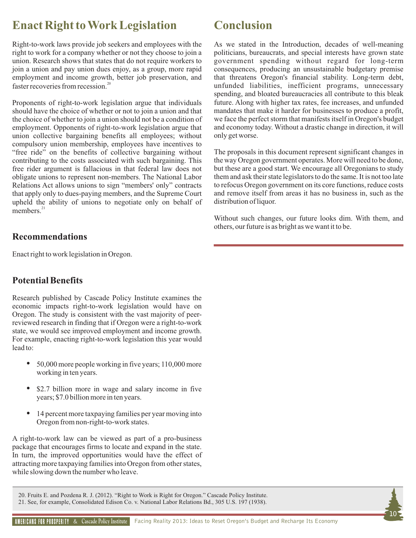## **Enact Right to Work Legislation**

Right-to-work laws provide job seekers and employees with the right to work for a company whether or not they choose to join a union. Research shows that states that do not require workers to join a union and pay union dues enjoy, as a group, more rapid employment and income growth, better job preservation, and faster recoveries from recession.<sup>20</sup>

Proponents of right-to-work legislation argue that individuals should have the choice of whether or not to join a union and that the choice of whether to join a union should not be a condition of employment. Opponents of right-to-work legislation argue that union collective bargaining benefits all employees; without compulsory union membership, employees have incentives to "free ride" on the benefits of collective bargaining without contributing to the costs associated with such bargaining. This free rider argument is fallacious in that federal law does not obligate unions to represent non-members. The National Labor Relations Act allows unions to sign "members' only" contracts that apply only to dues-paying members, and the Supreme Court upheld the ability of unions to negotiate only on behalf of members. $^{21}$ 

### **Recommendations**

Enact right to work legislation in Oregon.

### **Potential Benefits**

Research published by Cascade Policy Institute examines the economic impacts right-to-work legislation would have on Oregon. The study is consistent with the vast majority of peerreviewed research in finding that if Oregon were a right-to-work state, we would see improved employment and income growth. For example, enacting right-to-work legislation this year would lead to:

- 50,000 more people working in five years; 110,000 more working in ten years.
- \$2.7 billion more in wage and salary income in five years; \$7.0 billion more in ten years.
- 14 percent more taxpaying families per year moving into Oregon from non-right-to-work states.

A right-to-work law can be viewed as part of a pro-business package that encourages firms to locate and expand in the state. In turn, the improved opportunities would have the effect of attracting more taxpaying families into Oregon from other states, while slowing down the number who leave.

## **Conclusion**

As we stated in the Introduction, decades of well-meaning politicians, bureaucrats, and special interests have grown state government spending without regard for long-term consequences, producing an unsustainable budgetary premise that threatens Oregon's financial stability. Long-term debt, unfunded liabilities, inefficient programs, unnecessary spending, and bloated bureaucracies all contribute to this bleak future. Along with higher tax rates, fee increases, and unfunded mandates that make it harder for businesses to produce a profit, we face the perfect storm that manifests itself in Oregon's budget and economy today. Without a drastic change in direction, it will only get worse.

The proposals in this document represent significant changes in the way Oregon government operates. More will need to be done, but these are a good start. We encourage all Oregonians to study them and ask their state legislators to do the same. It is not too late to refocus Oregon government on its core functions, reduce costs and remove itself from areas it has no business in, such as the distribution of liquor.

Without such changes, our future looks dim. With them, and others, our future is as bright as we want it to be.

**10**

20. Fruits E. and Pozdena R. J. (2012). ["Right to Work is Right for Oregon](http://cascadepolicy.org/pdf/pub/RighttoWork01.31.12.pdf)." Cascade Policy Institute. 21. See, for example, Consolidated Edison Co. v. National Labor Relations Bd., 305 U.S. 197 (1938).